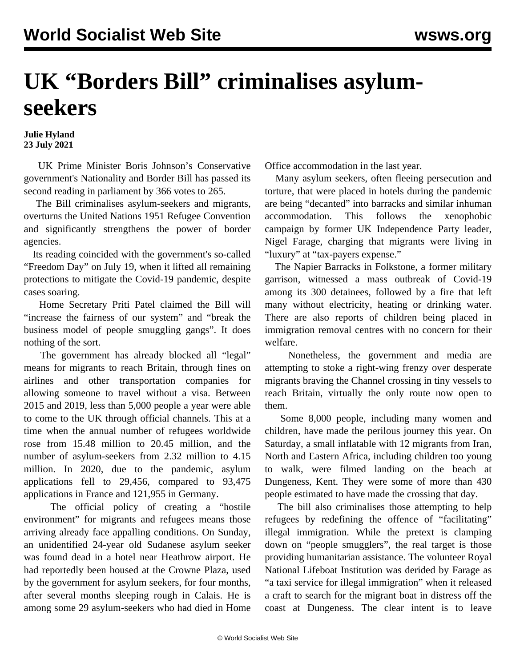## **UK "Borders Bill" criminalises asylumseekers**

## **Julie Hyland 23 July 2021**

 UK Prime Minister Boris Johnson's Conservative government's Nationality and Border Bill has passed its second reading in parliament by 366 votes to 265.

 The Bill criminalises asylum-seekers and migrants, overturns the United Nations 1951 Refugee Convention and significantly strengthens the power of border agencies.

 Its reading coincided with the government's so-called "Freedom Day" on July 19, when it lifted all remaining protections to mitigate the Covid-19 pandemic, despite cases soaring.

 Home Secretary Priti Patel claimed the Bill will "increase the fairness of our system" and "break the business model of people smuggling gangs". It does nothing of the sort.

 The government has already blocked all "legal" means for migrants to reach Britain, through fines on airlines and other transportation companies for allowing someone to travel without a visa. Between 2015 and 2019, less than 5,000 people a year were able to come to the UK through official channels. This at a time when the annual number of refugees worldwide rose from 15.48 million to 20.45 million, and the number of asylum-seekers from 2.32 million to 4.15 million. In 2020, due to the pandemic, asylum applications fell to 29,456, compared to 93,475 applications in France and 121,955 in Germany.

 The official policy of creating a "hostile environment" for migrants and refugees means those arriving already face appalling conditions. On Sunday, an unidentified 24-year old Sudanese asylum seeker was found dead in a hotel near Heathrow airport. He had reportedly been housed at the Crowne Plaza, used by the government for asylum seekers, for four months, after several months sleeping rough in Calais. He is among some 29 asylum-seekers who had died in Home Office accommodation in the last year.

 Many asylum seekers, often fleeing persecution and torture, that were placed in hotels during the pandemic are being "decanted" into barracks and similar inhuman accommodation. This follows the xenophobic campaign by former UK Independence Party leader, Nigel Farage, charging that migrants were living in "luxury" at "tax-payers expense."

 The Napier Barracks in Folkstone, a former military garrison, witnessed a mass outbreak of Covid-19 among its 300 detainees, followed by a fire that left many without electricity, heating or drinking water. There are also reports of children being placed in immigration removal centres with no concern for their welfare.

 Nonetheless, the government and media are attempting to stoke a right-wing frenzy over desperate migrants braving the Channel crossing in tiny vessels to reach Britain, virtually the only route now open to them.

 Some 8,000 people, including many women and children, have made the perilous journey this year. On Saturday, a small inflatable with 12 migrants from Iran, North and Eastern Africa, including children too young to walk, were filmed landing on the beach at Dungeness, Kent. They were some of more than 430 people estimated to have made the crossing that day.

 The bill also criminalises those attempting to help refugees by redefining the offence of "facilitating" illegal immigration. While the pretext is clamping down on "people smugglers", the real target is those providing humanitarian assistance. The volunteer Royal National Lifeboat Institution was derided by Farage as "a taxi service for illegal immigration" when it released a craft to search for the migrant boat in distress off the coast at Dungeness. The clear intent is to leave